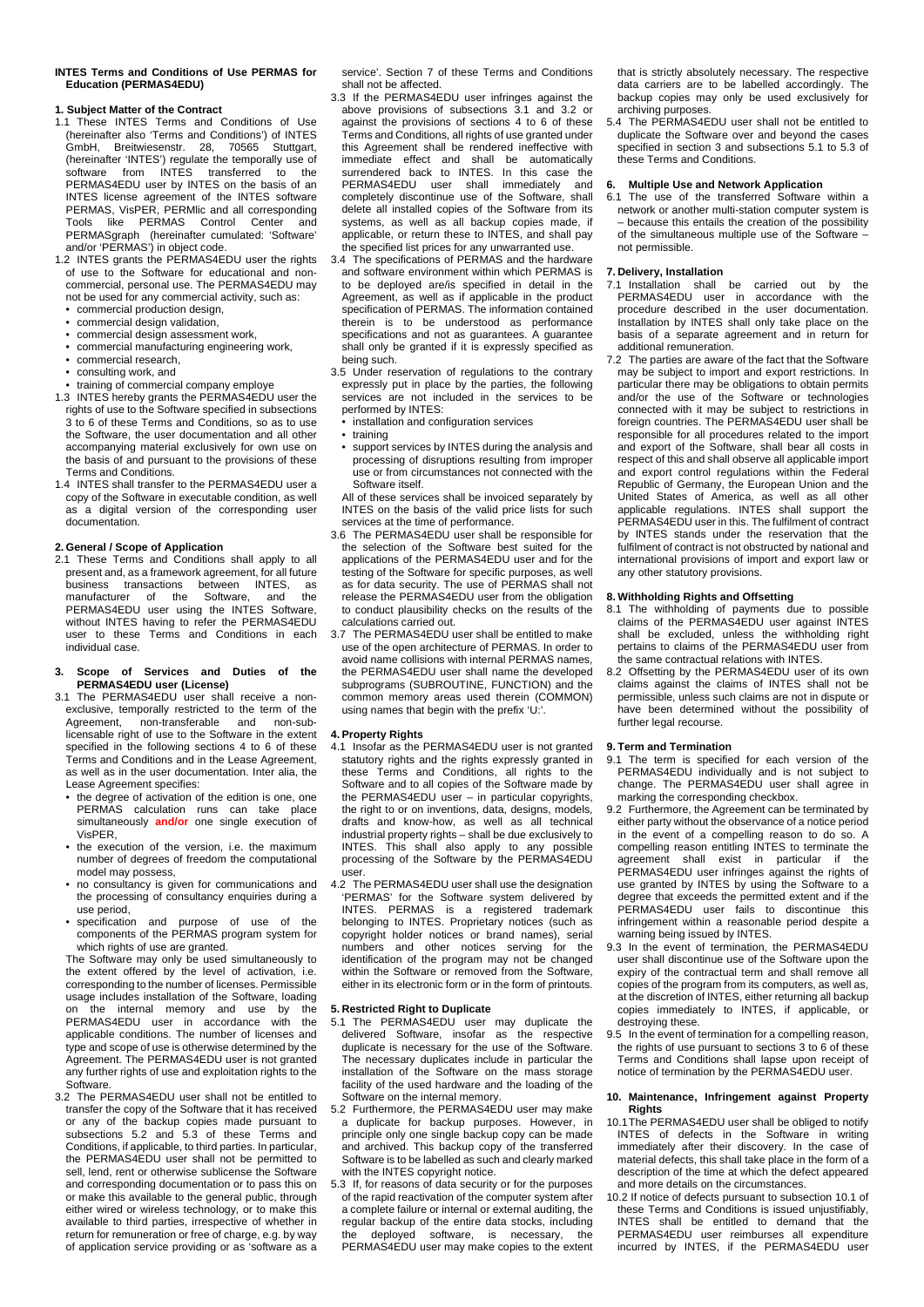#### **INTES Terms and Conditions of Use PERMAS for Education (PERMAS4EDU)**

## **1. Subject Matter of the Contract**

- 1.1 These INTES Terms and Conditions of Use (hereinafter also 'Terms and Conditions') of INTES GmbH, Breitwiesenstr. 28, 70565 Stuttgart, (hereinafter 'INTES') regulate the temporally use of software from INTES transferred to the PERMAS4EDU user by INTES on the basis of an INTES license agreement of the INTES software PERMAS, VisPER, PERMlic and all corresponding like PERMAS Control Center and PERMASgraph (hereinafter cumulated: 'Software' and/or 'PERMAS') in object code.
- 1.2 INTES grants the PERMAS4EDU user the rights of use to the Software for educational and noncommercial, personal use. The PERMAS4EDU may not be used for any commercial activity, such as:
	- commercial production design,
	- commercial design validation,
	- commercial design assessment work, • commercial manufacturing engineering work,
	- commercial research,
	- consulting work, and
- training of commercial company employe
- 1.3 INTES hereby grants the PERMAS4EDU user the rights of use to the Software specified in subsections 3 to 6 of these Terms and Conditions, so as to use the Software, the user documentation and all other accompanying material exclusively for own use on the basis of and pursuant to the provisions of these Terms and Conditions.
- 1.4 INTES shall transfer to the PERMAS4EDU user a copy of the Software in executable condition, as well as a digital version of the corresponding user documentation.

# **2. General / Scope of Application**

2.1 These Terms and Conditions shall apply to all present and, as a framework agreement, for all future business transactions between INTES, as manufacturer of the Software, and the PERMAS4EDU user using the INTES Software, without INTES having to refer the PERMAS4EDU user to these Terms and Conditions in each individual case.

### **3. Scope of Services and Duties of the PERMAS4EDU user (License)**

- 3.1 The PERMAS4EDU user shall receive a nonexclusive, temporally restricted to the term of the<br>Agreement, non-transferable and non-subnon-transferable and non-sublicensable right of use to the Software in the extent specified in the following sections 4 to 6 of these Terms and Conditions and in the Lease Agreement, as well as in the user documentation. Inter alia, the Lease Agreement specifies:
	- the degree of activation of the edition is one, one PERMAS calculation runs can take place simultaneously **and/or** one single execution of VisPER,
	- the execution of the version, i.e. the maximum number of degrees of freedom the computational model may possess,
	- no consultancy is given for communications and the processing of consultancy enquiries during a
	- use period,<br>• specification • specification and purpose of use of the components of the PERMAS program system for which rights of use are granted.

The Software may only be used simultaneously to the extent offered by the level of activation, i.e. corresponding to the number of licenses. Permissible usage includes installation of the Software, loading<br>on the internal memory and use by the the internal memory and use by PERMAS4EDU user in accordance with the applicable conditions. The number of licenses and type and scope of use is otherwise determined by the Agreement. The PERMAS4EDU user is not granted any further rights of use and exploitation rights to the Software.

3.2 The PERMAS4EDU user shall not be entitled to transfer the copy of the Software that it has received or any of the backup copies made pursuant to subsections 5.2 and 5.3 of these Terms and Conditions, if applicable, to third parties. In particular, the PERMAS4EDU user shall not be permitted to sell, lend, rent or otherwise sublicense the Software and corresponding documentation or to pass this on or make this available to the general public, through either wired or wireless technology, or to make this available to third parties, irrespective of whether in return for remuneration or free of charge, e.g. by way of application service providing or as 'software as a

service'. Section 7 of these Terms and Conditions shall not be affected.

- 3.3 If the PERMAS4EDU user infringes against the above provisions of subsections 3.1 and 3.2 or against the provisions of sections 4 to 6 of these Terms and Conditions, all rights of use granted under this Agreement shall be rendered ineffective with immediate effect and shall be automatically surrendered back to INTES. In this case the PERMAS4EDU user shall immediately and completely discontinue use of the Software, shall delete all installed copies of the Software from its systems, as well as all backup copies made, if applicable, or return these to INTES, and shall pay the specified list prices for any unwarranted use.
- 3.4 The specifications of PERMAS and the hardware and software environment within which PERMAS is to be deployed are/is specified in detail in the Agreement, as well as if applicable in the product specification of PERMAS. The information contained therein is to be understood as performance specifications and not as guarantees. A guarantee shall only be granted if it is expressly specified as being such.
- 3.5 Under reservation of regulations to the contrary expressly put in place by the parties, the following services are not included in the services to be performed by INTES:
- installation and configuration services
- training
- support services by INTES during the analysis and processing of disruptions resulting from improper use or from circumstances not connected with the Software itself.

All of these services shall be invoiced separately by INTES on the basis of the valid price lists for such services at the time of performance.

- 3.6 The PERMAS4EDU user shall be responsible for the selection of the Software best suited for the applications of the PERMAS4EDU user and for the testing of the Software for specific purposes, as well as for data security. The use of PERMAS shall not release the PERMAS4EDU user from the obligation to conduct plausibility checks on the results of the calculations carried out.
- 3.7 The PERMAS4EDU user shall be entitled to make use of the open architecture of PERMAS. In order to avoid name collisions with internal PERMAS names, the PERMAS4EDU user shall name the developed subprograms (SUBROUTINE, FUNCTION) and the common memory areas used therein (COMMON) using names that begin with the prefix 'U:'

# **4. Property Rights**

- 4.1 Insofar as the PERMAS4EDU user is not granted statutory rights and the rights expressly granted in these Terms and Conditions, all rights to the Software and to all copies of the Software made by the PERMAS4EDU user – in particular copyrights, the right to or on inventions, data, designs, models, drafts and know-how, as well as all technical industrial property rights – shall be due exclusively to INTES. This shall also apply to any possible processing of the Software by the PERMAS4EDU user.
- 4.2 The PERMAS4EDU user shall use the designation 'PERMAS' for the Software system delivered by INTES. PERMAS is a registered trademark belonging to INTES. Proprietary notices (such as copyright holder notices or brand names), serial numbers and other notices serving for the identification of the program may not be changed within the Software or removed from the Software, either in its electronic form or in the form of printouts.

# **5. Restricted Right to Duplicate**

- 5.1 The PERMAS4EDU user may duplicate the delivered Software, insofar as the respective duplicate is necessary for the use of the Software. The necessary duplicates include in particular the installation of the Software on the mass storage facility of the used hardware and the loading of the Software on the internal memory.
- 5.2 Furthermore, the PERMAS4EDU user may make a duplicate for backup purposes. However, in principle only one single backup copy can be made and archived. This backup copy of the transferred Software is to be labelled as such and clearly marked with the INTES copyright notice.
- 5.3 If, for reasons of data security or for the purposes of the rapid reactivation of the computer system after a complete failure or internal or external auditing, the regular backup of the entire data stocks, including the deployed software, is necessary, the PERMAS4EDU user may make copies to the extent

that is strictly absolutely necessary. The respective data carriers are to be labelled accordingly. The backup copies may only be used exclusively for archiving purposes.<br>5.4 The PERMAS4E

The PERMAS4EDU user shall not be entitled to duplicate the Software over and beyond the cases specified in section 3 and subsections 5.1 to 5.3 of these Terms and Conditions.

# **6. Multiple Use and Network Application**

6.1 The use of the transferred Software within a network or another multi-station computer system is – because this entails the creation of the possibility of the simultaneous multiple use of the Software – not permissible.

## **7. Delivery, Installation**

- 7.1 Installation shall be carried out by the PERMAS4EDU user in accordance with the procedure described in the user documentation. Installation by INTES shall only take place on the basis of a separate agreement and in return for additional remuneration.
- 7.2 The parties are aware of the fact that the Software may be subject to import and export restrictions. In particular there may be obligations to obtain permits and/or the use of the Software or technologies connected with it may be subject to restrictions in foreign countries. The PERMAS4EDU user shall be responsible for all procedures related to the import and export of the Software, shall bear all costs in respect of this and shall observe all applicable import and export control regulations within the Federal Republic of Germany, the European Union and the United States of America, as well as all other applicable regulations. INTES shall support the PERMAS4EDU user in this. The fulfilment of contract by INTES stands under the reservation that the fulfilment of contract is not obstructed by national and international provisions of import and export law or any other statutory provisions.

# **8. Withholding Rights and Offsetting**

- 8.1 The withholding of payments due to possible claims of the PERMAS4EDU user against INTES shall be excluded, unless the withholding right pertains to claims of the PERMAS4EDU user from the same contractual relations with INTES.
- 8.2 Offsetting by the PERMAS4EDU user of its own claims against the claims of INTES shall not be permissible, unless such claims are not in dispute or have been determined without the possibility of further legal recourse.

#### **9. Term and Termination**

- 9.1 The term is specified for each version of the PERMAS4EDU individually and is not subject to change. The PERMAS4EDU user shall agree in marking the corresponding checkbox.
- 9.2 Furthermore, the Agreement can be terminated by either party without the observance of a notice period in the event of a compelling reason to do so. A compelling reason entitling INTES to terminate the agreement shall exist in particular if the PERMAS4EDU user infringes against the rights of use granted by INTES by using the Software to a degree that exceeds the permitted extent and if the PERMAS4EDU user fails to discontinue this infringement within a reasonable period despite a warning being issued by INTES.
- 9.3 In the event of termination, the PERMAS4EDU user shall discontinue use of the Software upon the expiry of the contractual term and shall remove all copies of the program from its computers, as well as, at the discretion of INTES, either returning all backup copies immediately to INTES, if applicable, or destroying these.
- 9.5 In the event of termination for a compelling reason, the rights of use pursuant to sections 3 to 6 of these Terms and Conditions shall lapse upon receipt of notice of termination by the PERMAS4EDU user.

## **10. Maintenance, Infringement against Property Rights**

- 10.1The PERMAS4EDU user shall be obliged to notify INTES of defects in the Software in writing immediately after their discovery. In the case of material defects, this shall take place in the form of a description of the time at which the defect appeared and more details on the circumstances.
- 10.2 If notice of defects pursuant to subsection 10.1 of these Terms and Conditions is issued unjustifiably, INTES shall be entitled to demand that the PERMAS4EDU user reimburses all expenditure incurred by INTES, if the PERMAS4EDU user